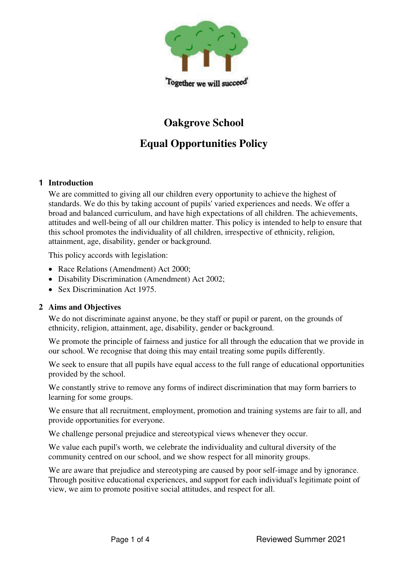

# **Oakgrove School**

## **Equal Opportunities Policy**

### **1 Introduction**

We are committed to giving all our children every opportunity to achieve the highest of standards. We do this by taking account of pupils' varied experiences and needs. We offer a broad and balanced curriculum, and have high expectations of all children. The achievements, attitudes and well-being of all our children matter. This policy is intended to help to ensure that this school promotes the individuality of all children, irrespective of ethnicity, religion, attainment, age, disability, gender or background.

This policy accords with legislation:

- Race Relations (Amendment) Act 2000;
- Disability Discrimination (Amendment) Act 2002;
- Sex Discrimination Act 1975.

### **2 Aims and Objectives**

We do not discriminate against anyone, be they staff or pupil or parent, on the grounds of ethnicity, religion, attainment, age, disability, gender or background.

We promote the principle of fairness and justice for all through the education that we provide in our school. We recognise that doing this may entail treating some pupils differently.

We seek to ensure that all pupils have equal access to the full range of educational opportunities provided by the school.

 We constantly strive to remove any forms of indirect discrimination that may form barriers to learning for some groups.

We ensure that all recruitment, employment, promotion and training systems are fair to all, and provide opportunities for everyone.

We challenge personal prejudice and stereotypical views whenever they occur.

 We value each pupil's worth, we celebrate the individuality and cultural diversity of the community centred on our school, and we show respect for all minority groups.

We are aware that prejudice and stereotyping are caused by poor self-image and by ignorance. Through positive educational experiences, and support for each individual's legitimate point of view, we aim to promote positive social attitudes, and respect for all.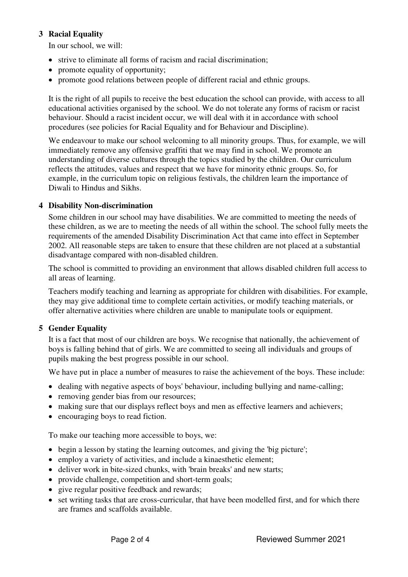### **3 Racial Equality**

In our school, we will:

- strive to eliminate all forms of racism and racial discrimination;
- promote equality of opportunity;
- promote good relations between people of different racial and ethnic groups.

 It is the right of all pupils to receive the best education the school can provide, with access to all educational activities organised by the school. We do not tolerate any forms of racism or racist behaviour. Should a racist incident occur, we will deal with it in accordance with school procedures (see policies for Racial Equality and for Behaviour and Discipline).

We endeavour to make our school welcoming to all minority groups. Thus, for example, we will immediately remove any offensive graffiti that we may find in school. We promote an understanding of diverse cultures through the topics studied by the children. Our curriculum reflects the attitudes, values and respect that we have for minority ethnic groups. So, for example, in the curriculum topic on religious festivals, the children learn the importance of Diwali to Hindus and Sikhs.

### **4 Disability Non-discrimination**

 Some children in our school may have disabilities. We are committed to meeting the needs of these children, as we are to meeting the needs of all within the school. The school fully meets the requirements of the amended Disability Discrimination Act that came into effect in September 2002. All reasonable steps are taken to ensure that these children are not placed at a substantial disadvantage compared with non-disabled children.

 The school is committed to providing an environment that allows disabled children full access to all areas of learning.

 Teachers modify teaching and learning as appropriate for children with disabilities. For example, they may give additional time to complete certain activities, or modify teaching materials, or offer alternative activities where children are unable to manipulate tools or equipment.

### **5 Gender Equality**

 It is a fact that most of our children are boys. We recognise that nationally, the achievement of boys is falling behind that of girls. We are committed to seeing all individuals and groups of pupils making the best progress possible in our school.

We have put in place a number of measures to raise the achievement of the boys. These include:

- dealing with negative aspects of boys' behaviour, including bullying and name-calling;
- removing gender bias from our resources;
- making sure that our displays reflect boys and men as effective learners and achievers;
- encouraging boys to read fiction.

To make our teaching more accessible to boys, we:

- begin a lesson by stating the learning outcomes, and giving the 'big picture';
- employ a variety of activities, and include a kinaesthetic element;
- deliver work in bite-sized chunks, with 'brain breaks' and new starts;
- provide challenge, competition and short-term goals;
- give regular positive feedback and rewards;
- set writing tasks that are cross-curricular, that have been modelled first, and for which there are frames and scaffolds available.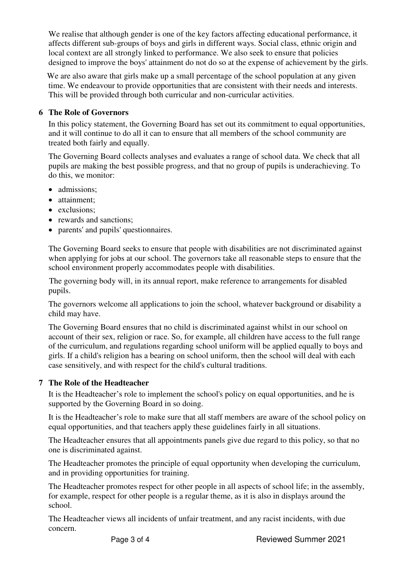We realise that although gender is one of the key factors affecting educational performance, it affects different sub-groups of boys and girls in different ways. Social class, ethnic origin and local context are all strongly linked to performance. We also seek to ensure that policies designed to improve the boys' attainment do not do so at the expense of achievement by the girls.

We are also aware that girls make up a small percentage of the school population at any given time. We endeavour to provide opportunities that are consistent with their needs and interests. This will be provided through both curricular and non-curricular activities.

## **6 The Role of Governors**

 In this policy statement, the Governing Board has set out its commitment to equal opportunities, and it will continue to do all it can to ensure that all members of the school community are treated both fairly and equally.

 The Governing Board collects analyses and evaluates a range of school data. We check that all pupils are making the best possible progress, and that no group of pupils is underachieving. To do this, we monitor:

- admissions;
- attainment:
- exclusions:
- rewards and sanctions;
- parents' and pupils' questionnaires.

 The Governing Board seeks to ensure that people with disabilities are not discriminated against when applying for jobs at our school. The governors take all reasonable steps to ensure that the school environment properly accommodates people with disabilities.

 The governing body will, in its annual report, make reference to arrangements for disabled pupils.

The governors welcome all applications to join the school, whatever background or disability a child may have.

 The Governing Board ensures that no child is discriminated against whilst in our school on account of their sex, religion or race. So, for example, all children have access to the full range of the curriculum, and regulations regarding school uniform will be applied equally to boys and girls. If a child's religion has a bearing on school uniform, then the school will deal with each case sensitively, and with respect for the child's cultural traditions.

### **7 The Role of the Headteacher**

 It is the Headteacher's role to implement the school's policy on equal opportunities, and he is supported by the Governing Board in so doing.

 It is the Headteacher's role to make sure that all staff members are aware of the school policy on equal opportunities, and that teachers apply these guidelines fairly in all situations.

 The Headteacher ensures that all appointments panels give due regard to this policy, so that no one is discriminated against.

 The Headteacher promotes the principle of equal opportunity when developing the curriculum, and in providing opportunities for training.

 The Headteacher promotes respect for other people in all aspects of school life; in the assembly, for example, respect for other people is a regular theme, as it is also in displays around the school.

 The Headteacher views all incidents of unfair treatment, and any racist incidents, with due concern.